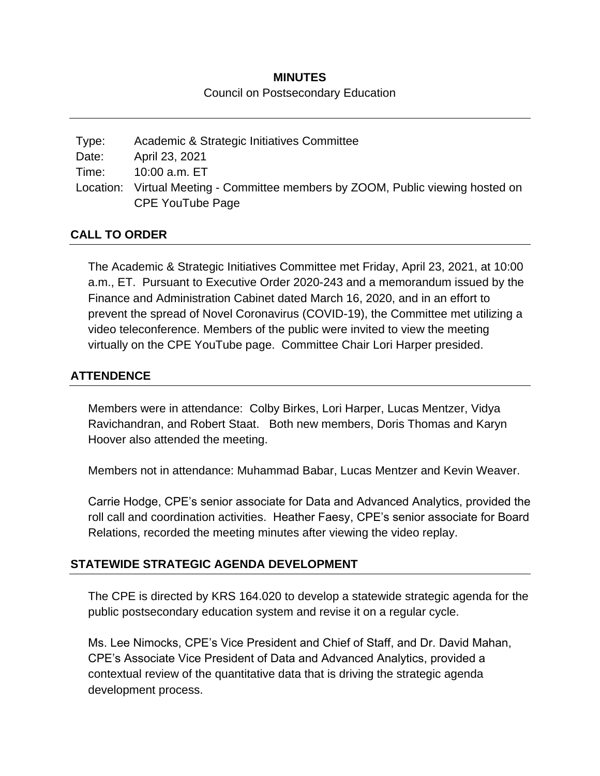# **MINUTES** Council on Postsecondary Education

| Type: | Academic & Strategic Initiatives Committee                                      |
|-------|---------------------------------------------------------------------------------|
| Date: | April 23, 2021                                                                  |
| Time: | 10:00 a.m. ET                                                                   |
|       | Location: Virtual Meeting - Committee members by ZOOM, Public viewing hosted on |
|       | CPE YouTube Page                                                                |

#### **CALL TO ORDER**

The Academic & Strategic Initiatives Committee met Friday, April 23, 2021, at 10:00 a.m., ET. Pursuant to Executive Order 2020-243 and a memorandum issued by the Finance and Administration Cabinet dated March 16, 2020, and in an effort to prevent the spread of Novel Coronavirus (COVID-19), the Committee met utilizing a video teleconference. Members of the public were invited to view the meeting virtually on the CPE YouTube page. Committee Chair Lori Harper presided.

# **ATTENDENCE**

Members were in attendance: Colby Birkes, Lori Harper, Lucas Mentzer, Vidya Ravichandran, and Robert Staat. Both new members, Doris Thomas and Karyn Hoover also attended the meeting.

Members not in attendance: Muhammad Babar, Lucas Mentzer and Kevin Weaver.

Carrie Hodge, CPE's senior associate for Data and Advanced Analytics, provided the roll call and coordination activities. Heather Faesy, CPE's senior associate for Board Relations, recorded the meeting minutes after viewing the video replay.

# **STATEWIDE STRATEGIC AGENDA DEVELOPMENT**

The CPE is directed by KRS 164.020 to develop a statewide strategic agenda for the public postsecondary education system and revise it on a regular cycle.

Ms. Lee Nimocks, CPE's Vice President and Chief of Staff, and Dr. David Mahan, CPE's Associate Vice President of Data and Advanced Analytics, provided a contextual review of the quantitative data that is driving the strategic agenda development process.